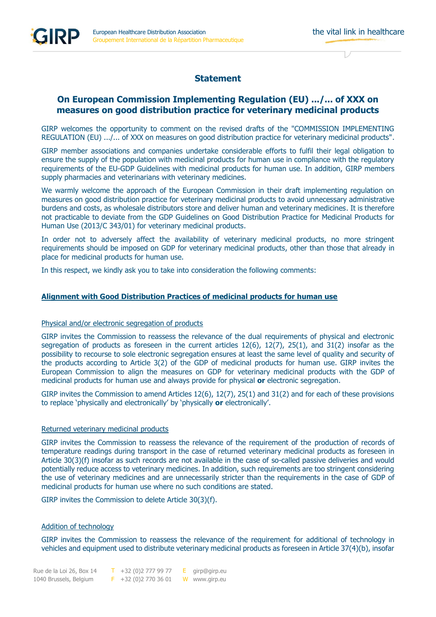# **Statement**

## **On European Commission Implementing Regulation (EU) .../... of XXX on measures on good distribution practice for veterinary medicinal products**

GIRP welcomes the opportunity to comment on the revised drafts of the "COMMISSION IMPLEMENTING REGULATION (EU) .../... of XXX on measures on good distribution practice for veterinary medicinal products".

GIRP member associations and companies undertake considerable efforts to fulfil their legal obligation to ensure the supply of the population with medicinal products for human use in compliance with the regulatory requirements of the EU-GDP Guidelines with medicinal products for human use. In addition, GIRP members supply pharmacies and veterinarians with veterinary medicines.

We warmly welcome the approach of the European Commission in their draft implementing regulation on measures on good distribution practice for veterinary medicinal products to avoid unnecessary administrative burdens and costs, as wholesale distributors store and deliver human and veterinary medicines. It is therefore not practicable to deviate from the GDP Guidelines on Good Distribution Practice for Medicinal Products for Human Use (2013/C 343/01) for veterinary medicinal products.

In order not to adversely affect the availability of veterinary medicinal products, no more stringent requirements should be imposed on GDP for veterinary medicinal products, other than those that already in place for medicinal products for human use.

In this respect, we kindly ask you to take into consideration the following comments:

## **Alignment with Good Distribution Practices of medicinal products for human use**

#### Physical and/or electronic segregation of products

GIRP invites the Commission to reassess the relevance of the dual requirements of physical and electronic segregation of products as foreseen in the current articles 12(6), 12(7), 25(1), and 31(2) insofar as the possibility to recourse to sole electronic segregation ensures at least the same level of quality and security of the products according to Article 3(2) of the GDP of medicinal products for human use. GIRP invites the European Commission to align the measures on GDP for veterinary medicinal products with the GDP of medicinal products for human use and always provide for physical **or** electronic segregation.

GIRP invites the Commission to amend Articles 12(6), 12(7), 25(1) and 31(2) and for each of these provisions to replace 'physically and electronically' by 'physically **or** electronically'.

#### Returned veterinary medicinal products

GIRP invites the Commission to reassess the relevance of the requirement of the production of records of temperature readings during transport in the case of returned veterinary medicinal products as foreseen in Article 30(3)(f) insofar as such records are not available in the case of so-called passive deliveries and would potentially reduce access to veterinary medicines. In addition, such requirements are too stringent considering the use of veterinary medicines and are unnecessarily stricter than the requirements in the case of GDP of medicinal products for human use where no such conditions are stated.

GIRP invites the Commission to delete Article 30(3)(f).

#### Addition of technology

GIRP invites the Commission to reassess the relevance of the requirement for additional of technology in vehicles and equipment used to distribute veterinary medicinal products as foreseen in Article 37(4)(b), insofar